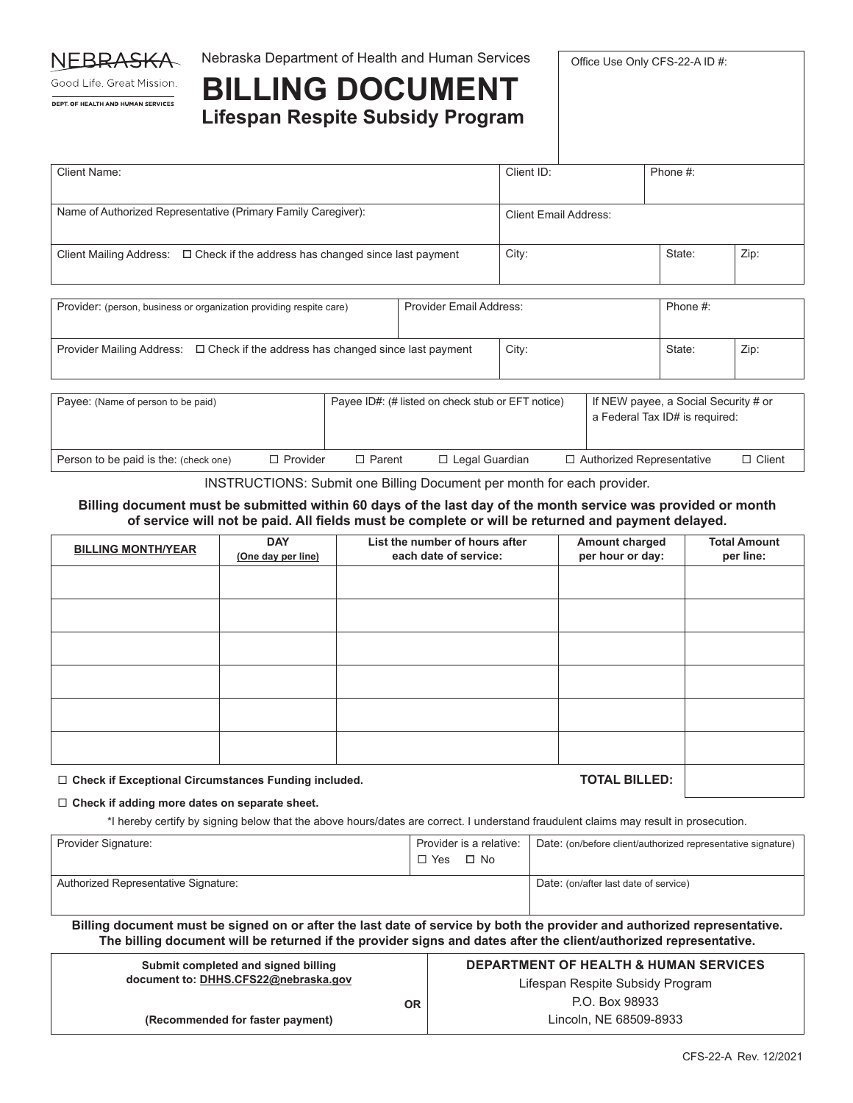

Nebraska Department of Health and Human Services

Office Use Only CFS-22-A ID #:

Good Life. Great Mission. DEPT. OF HEALTH AND HUMAN SERVICES

## **BILLING DOCUMENT Lifespan Respite Subsidy Program**

| Client Name:                                                                       | Client ID:            | Phone #: |      |
|------------------------------------------------------------------------------------|-----------------------|----------|------|
|                                                                                    |                       |          |      |
| Name of Authorized Representative (Primary Family Caregiver):                      | Client Email Address: |          |      |
| Client Mailing Address: $\Box$ Check if the address has changed since last payment | City:                 | State:   | Zip: |

| Provider: (person, business or organization providing respite care)                  | <b>Provider Email Address:</b> |       | Phone #: |      |
|--------------------------------------------------------------------------------------|--------------------------------|-------|----------|------|
| Provider Mailing Address: $\Box$ Check if the address has changed since last payment |                                | City: | State:   | Zip: |

| Payee: (Name of person to be paid)    |                 |               | Payee ID#: (# listed on check stub or EFT notice) | If NEW payee, a Social Security # or<br>a Federal Tax ID# is required: |               |
|---------------------------------------|-----------------|---------------|---------------------------------------------------|------------------------------------------------------------------------|---------------|
| Person to be paid is the: (check one) | $\Box$ Provider | $\Box$ Parent | $\Box$ Legal Guardian                             | □ Authorized Representative                                            | $\Box$ Client |

INSTRUCTIONS: Submit one Billing Document per month for each provider.

### **Billing document must be submitted within 60 days of the last day of the month service was provided or month of service will not be paid. All fields must be complete or will be returned and payment delayed.**

| <b>BILLING MONTH/YEAR</b> | <b>DAY</b><br>(One day per line) | List the number of hours after<br>each date of service: | Amount charged<br>per hour or day: | <b>Total Amount</b><br>per line: |
|---------------------------|----------------------------------|---------------------------------------------------------|------------------------------------|----------------------------------|
|                           |                                  |                                                         |                                    |                                  |
|                           |                                  |                                                         |                                    |                                  |
|                           |                                  |                                                         |                                    |                                  |
|                           |                                  |                                                         |                                    |                                  |
|                           |                                  |                                                         |                                    |                                  |
|                           |                                  |                                                         |                                    |                                  |
|                           |                                  |                                                         |                                    |                                  |

**Check if Exceptional Circumstances Funding included. TOTAL BILLED:**

#### **Check if adding more dates on separate sheet.**

\*I hereby certify by signing below that the above hours/dates are correct. I understand fraudulent claims may result in prosecution.

| Provider Signature:                  | Provider is a relative: | Date: (on/before client/authorized representative signature) |
|--------------------------------------|-------------------------|--------------------------------------------------------------|
|                                      | □ Yes □ No              |                                                              |
| Authorized Representative Signature: |                         | Date: (on/after last date of service)                        |
|                                      |                         |                                                              |

**Billing document must be signed on or after the last date of service by both the provider and authorized representative. The billing document will be returned if the provider signs and dates after the client/authorized representative.**

| Submit completed and signed billing |                                      | <b>DEPARTMENT OF HEALTH &amp; HUMAN SERVICES</b> |  |
|-------------------------------------|--------------------------------------|--------------------------------------------------|--|
|                                     | document to: DHHS.CFS22@nebraska.gov | Lifespan Respite Subsidy Program                 |  |
|                                     | <b>OR</b>                            | P.O. Box 98933                                   |  |
|                                     | (Recommended for faster payment)     | Lincoln, NE 68509-8933                           |  |
|                                     |                                      |                                                  |  |